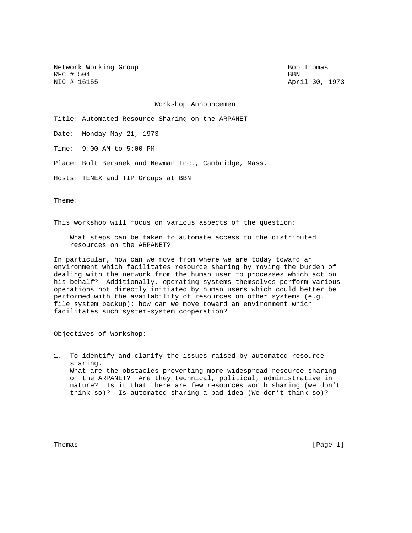Network Working Group Bob Thomas RFC # 504 BBN<br>NIC # 16155 Apr

April 30, 1973

Workshop Announcement

Title: Automated Resource Sharing on the ARPANET

Date: Monday May 21, 1973

Time: 9:00 AM to 5:00 PM

Place: Bolt Beranek and Newman Inc., Cambridge, Mass.

Hosts: TENEX and TIP Groups at BBN

Theme:

-----

This workshop will focus on various aspects of the question:

 What steps can be taken to automate access to the distributed resources on the ARPANET?

In particular, how can we move from where we are today toward an environment which facilitates resource sharing by moving the burden of dealing with the network from the human user to processes which act on his behalf? Additionally, operating systems themselves perform various operations not directly initiated by human users which could better be performed with the availability of resources on other systems (e.g. file system backup); how can we move toward an environment which facilitates such system-system cooperation?

Objectives of Workshop: ----------------------

1. To identify and clarify the issues raised by automated resource sharing. What are the obstacles preventing more widespread resource sharing on the ARPANET? Are they technical, political, administrative in nature? Is it that there are few resources worth sharing (we don't think so)? Is automated sharing a bad idea (We don't think so)?

Thomas [Page 1]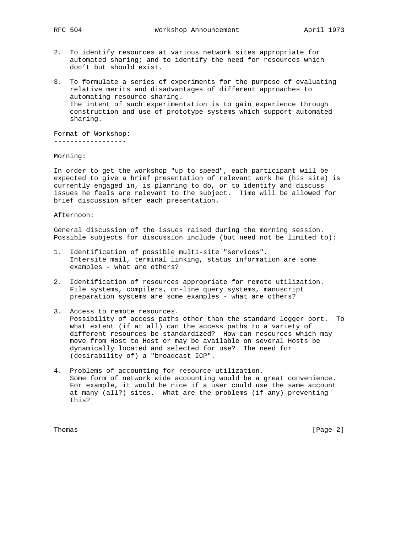- 2. To identify resources at various network sites appropriate for automated sharing; and to identify the need for resources which don't but should exist.
- 3. To formulate a series of experiments for the purpose of evaluating relative merits and disadvantages of different approaches to automating resource sharing. The intent of such experimentation is to gain experience through construction and use of prototype systems which support automated sharing.

Format of Workshop:

------------------

Morning:

In order to get the workshop "up to speed", each participant will be expected to give a brief presentation of relevant work he (his site) is currently engaged in, is planning to do, or to identify and discuss issues he feels are relevant to the subject. Time will be allowed for brief discussion after each presentation.

## Afternoon:

General discussion of the issues raised during the morning session. Possible subjects for discussion include (but need not be limited to):

- 1. Identification of possible multi-site "services". Intersite mail, terminal linking, status information are some examples - what are others?
- 2. Identification of resources appropriate for remote utilization. File systems, compilers, on-line query systems, manuscript preparation systems are some examples - what are others?
- 3. Access to remote resources. Possibility of access paths other than the standard logger port. To what extent (if at all) can the access paths to a variety of different resources be standardized? How can resources which may move from Host to Host or may be available on several Hosts be dynamically located and selected for use? The need for (desirability of) a "broadcast ICP".
- 4. Problems of accounting for resource utilization. Some form of network wide accounting would be a great convenience. For example, it would be nice if a user could use the same account at many (all?) sites. What are the problems (if any) preventing this?

Thomas [Page 2]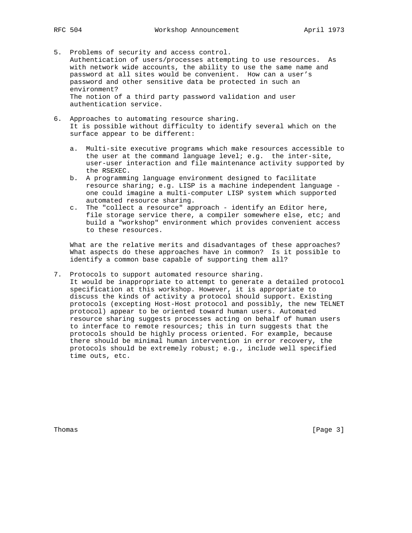- 5. Problems of security and access control. Authentication of users/processes attempting to use resources. As with network wide accounts, the ability to use the same name and password at all sites would be convenient. How can a user's password and other sensitive data be protected in such an environment? The notion of a third party password validation and user authentication service.
- 6. Approaches to automating resource sharing. It is possible without difficulty to identify several which on the surface appear to be different:
	- a. Multi-site executive programs which make resources accessible to the user at the command language level; e.g. the inter-site, user-user interaction and file maintenance activity supported by the RSEXEC.
	- b. A programming language environment designed to facilitate resource sharing; e.g. LISP is a machine independent language one could imagine a multi-computer LISP system which supported automated resource sharing.
	- c. The "collect a resource" approach identify an Editor here, file storage service there, a compiler somewhere else, etc; and build a "workshop" environment which provides convenient access to these resources.

 What are the relative merits and disadvantages of these approaches? What aspects do these approaches have in common? Is it possible to identify a common base capable of supporting them all?

7. Protocols to support automated resource sharing. It would be inappropriate to attempt to generate a detailed protocol specification at this workshop. However, it is appropriate to discuss the kinds of activity a protocol should support. Existing protocols (excepting Host-Host protocol and possibly, the new TELNET protocol) appear to be oriented toward human users. Automated resource sharing suggests processes acting on behalf of human users to interface to remote resources; this in turn suggests that the protocols should be highly process oriented. For example, because there should be minimal human intervention in error recovery, the protocols should be extremely robust; e.g., include well specified time outs, etc.

Thomas [Page 3]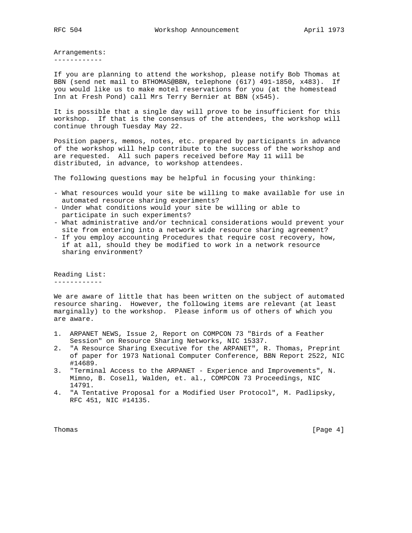Arrangements: ------------

If you are planning to attend the workshop, please notify Bob Thomas at BBN (send net mail to BTHOMAS@BBN, telephone (617) 491-1850, x483). If you would like us to make motel reservations for you (at the homestead Inn at Fresh Pond) call Mrs Terry Bernier at BBN (x545).

It is possible that a single day will prove to be insufficient for this workshop. If that is the consensus of the attendees, the workshop will continue through Tuesday May 22.

Position papers, memos, notes, etc. prepared by participants in advance of the workshop will help contribute to the success of the workshop and are requested. All such papers received before May 11 will be distributed, in advance, to workshop attendees.

The following questions may be helpful in focusing your thinking:

- What resources would your site be willing to make available for use in automated resource sharing experiments?
- Under what conditions would your site be willing or able to participate in such experiments?
- What administrative and/or technical considerations would prevent your site from entering into a network wide resource sharing agreement?
- If you employ accounting Procedures that require cost recovery, how, if at all, should they be modified to work in a network resource sharing environment?

Reading List: ------------

We are aware of little that has been written on the subject of automated resource sharing. However, the following items are relevant (at least marginally) to the workshop. Please inform us of others of which you are aware.

- 1. ARPANET NEWS, Issue 2, Report on COMPCON 73 "Birds of a Feather Session" on Resource Sharing Networks, NIC 15337.
- 2. "A Resource Sharing Executive for the ARPANET", R. Thomas, Preprint of paper for 1973 National Computer Conference, BBN Report 2522, NIC #14689.
- 3. "Terminal Access to the ARPANET Experience and Improvements", N. Mimno, B. Cosell, Walden, et. al., COMPCON 73 Proceedings, NIC 14791.
- 4. "A Tentative Proposal for a Modified User Protocol", M. Padlipsky, RFC 451, NIC #14135.

Thomas [Page 4] **Thomas** [Page 4] **Page 4**]